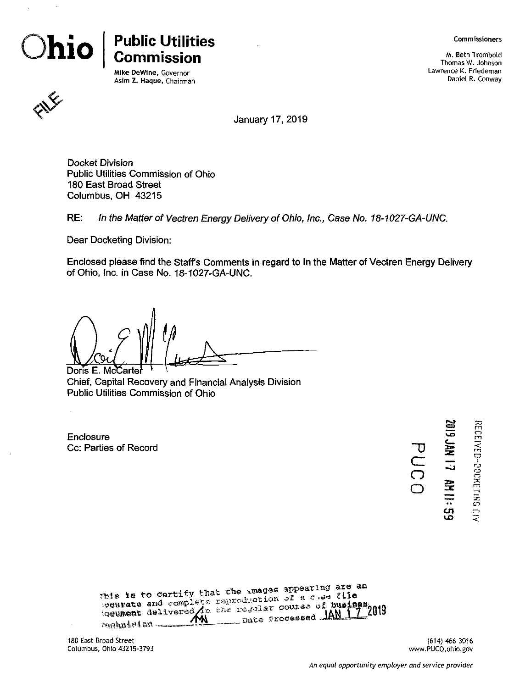

# **Public Utilities Commission**

Mike DeWine, Governor Asim Z. Haque, Chairman Commissioners

M. Beth Trombold Thomas W. Johnson Lawrence K. Friedeman Daniel R. Conway



January 17, 2019

Docket Division Public Utilities Commission of Ohio 180 East Broad Street Columbus, OH 43215

*RE: In the Matter of Vectren Energy Delivery of Ohio, Inc., Case No. 18-1027-'GA-UNC.*

Dear Docketing Division:

Enclosed please find the Staff's Comments in regard to In the Matter of Vectren Energy Delivery of Ohio, Inc. in Case No. 18-1027-GA-UNC.

Doris E. McCarte

Chief, Capital Recovery and Financial Analysis Division Public Utilities Commission of Ohio

Enclosure **Cc: Parties of Record** 

| ست<br>ಡ<br><b>SAR</b> |  |
|-----------------------|--|
| ご                     |  |
| 줖<br>                 |  |
| ပ္ပာ                  |  |

**I o**

o **<**

 $\mathbf{r}$ 

*cz* **o o**

| This is to certify that the images appearing are an<br>tecurate and complete reproduction of a class file<br>loeument delivered in the regular course of busines. |
|-------------------------------------------------------------------------------------------------------------------------------------------------------------------|
|-------------------------------------------------------------------------------------------------------------------------------------------------------------------|

180 East Broad Street Columbus, Ohio 43215-3793

 $\bar{z}$ 

(614) 466-3016 www.PUCO.ohio.gov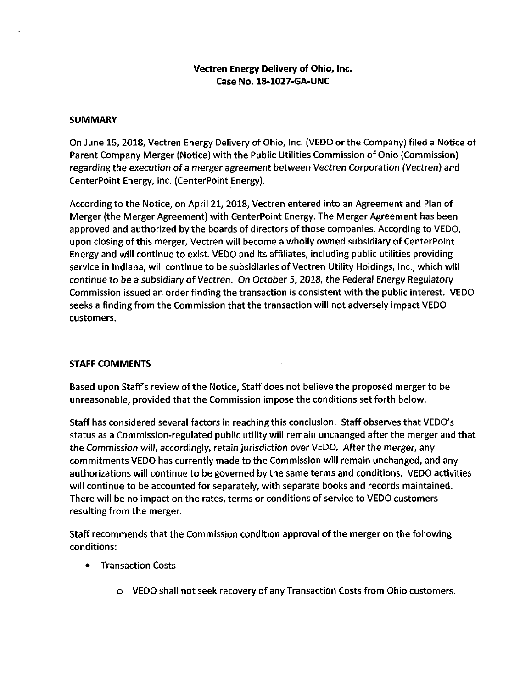## **Vectren Energy Delivery of Ohio, Inc. Case No. 18-1027-GA-UNC**

#### **SUMMARY**

On June 15, 2018, Vectren Energy Delivery of Ohio, Inc. (VEDO or the Company) filed a Notice of Parent Company Merger (Notice) with the Public Utilities Commission of Ohio (Commission) regarding the execution of a merger agreement between Vectren Corporation (Vectren) and CenterPoint Energy, Inc. (CenterPoint Energy).

According to the Notice, on April 21, 2018, Vectren entered into an Agreement and Plan of Merger (the Merger Agreement) with CenterPoint Energy. The Merger Agreement has been approved and authorized by the boards of directors of those companies. According to VEDO, upon closing of this merger, Vectren will become a wholly owned subsidiary of CenterPoint Energy and will continue to exist. VEDO and its affiliates, including public utilities providing service in Indiana, will continue to be subsidiaries of Vectren Utility Holdings, Inc., which will continue to be a subsidiary of Vectren. On October 5, 2018, the Federal Energy Regulatory Commission issued an order finding the transaction is consistent with the public interest. VEDO seeks a finding from the Commission that the transaction will not adversely impact VEDO customers.

### **STAFF COMMENTS**

Based upon Staff's review of the Notice, Staff does not believe the proposed merger to be unreasonable, provided that the Commission impose the conditions set forth below.

Staff has considered several factors in reaching this conclusion. Staff observes that VEDO's status as a Commission-regulated public utility will remain unchanged after the merger and that the Commission will, accordingly, retain jurisdiction over VEDO. After the merger, any commitments VEDO has currently made to the Commission will remain unchanged, and any authorizations will continue to be governed by the same terms and conditions. VEDO activities will continue to be accounted for separately, with separate books and records maintained. There will be no impact on the rates, terms or conditions of service to VEDO customers resulting from the merger.

Staff recommends that the Commission condition approval ofthe merger on the following conditions:

- Transaction Costs
	- o VEDO shall not seek recovery of any Transaction Costs from Ohio customers.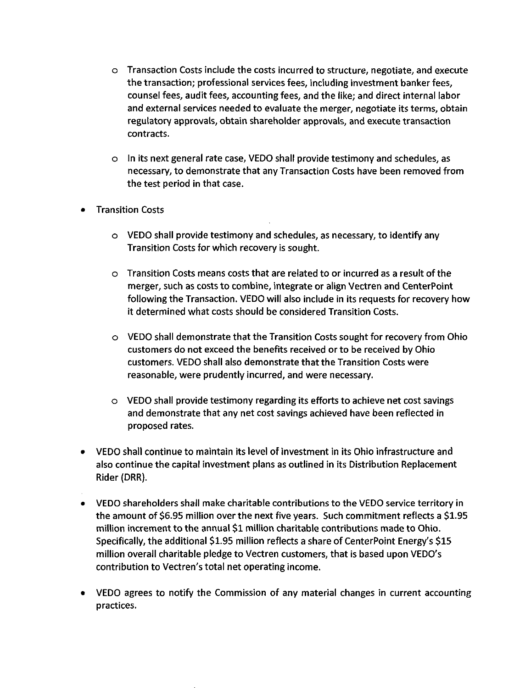- o Transaction Costs include the costs incurred to structure, negotiate, and execute the transaction; professional services fees, including investment banker fees, counsel fees, audit fees, accounting fees, and the like; and direct internal labor and external services needed to evaluate the merger, negotiate its terms, obtain regulatory approvals, obtain shareholder approvals, and execute transaction contracts.
- o In Its next general rate case, VEDO shall provide testimony and schedules, as necessary, to demonstrate that any Transaction Costs have been removed from the test period in that case.
- Transition Costs
	- o VEDO shall provide testimony and schedules, as necessary, to identify any Transition Costs for which recovery is sought.
	- o Transition Costs means costs that are related to or incurred as a result of the merger, such as costs to combine, integrate or align Vectren and CenterPoint following the Transaction. VEDO will also include in its requests for recovery how it determined what costs should be considered Transition Costs.
	- o VEDO shall demonstrate that the Transition Costs sought for recovery from Ohio customers do not exceed the benefits received or to be received by Ohio customers. VEDO shall also demonstrate that the Transition Costs were reasonable, were prudently incurred, and were necessary.
	- o VEDO shall provide testimony regarding its efforts to achieve net cost savings and demonstrate that any net cost savings achieved have been reflected in proposed rates.
- VEDO shall continue to maintain its level of investment in its Ohio infrastructure and also continue the capital investment plans as outlined in its Distribution Replacement Rider (DRR).
- VEDO shareholders shall make charitable contributions to the VEDO service territory in the amount of \$6.95 million over the next five years. Such commitment reflects a \$1.95 million increment to the annual \$1 million charitable contributions made to Ohio. Specifically, the additional \$1.95 million reflects a share of CenterPoint Energy's \$15 million overall charitable pledge to Vectren customers, that is based upon VEDO's contribution to Vectren's total net operating income.
- VEDO agrees to notify the Commission of any material changes in current accounting practices.